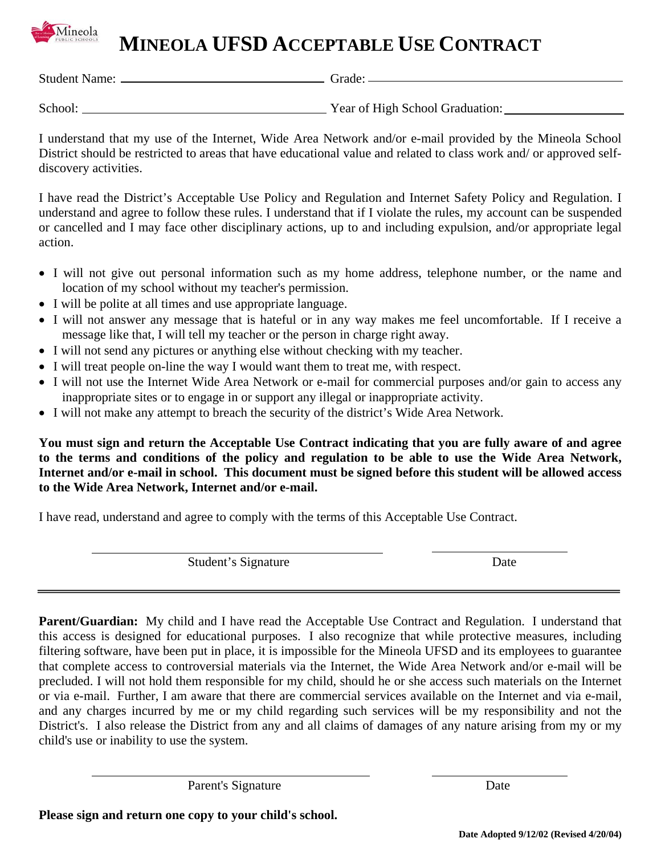## **MINEOLA UFSD ACCEPTABLE USE CONTRACT**

Student Name: Grade:

Mineola

School: Year of High School Graduation:

I understand that my use of the Internet, Wide Area Network and/or e-mail provided by the Mineola School District should be restricted to areas that have educational value and related to class work and/ or approved selfdiscovery activities.

I have read the District's Acceptable Use Policy and Regulation and Internet Safety Policy and Regulation. I understand and agree to follow these rules. I understand that if I violate the rules, my account can be suspended or cancelled and I may face other disciplinary actions, up to and including expulsion, and/or appropriate legal action.

- I will not give out personal information such as my home address, telephone number, or the name and location of my school without my teacher's permission.
- I will be polite at all times and use appropriate language.
- I will not answer any message that is hateful or in any way makes me feel uncomfortable. If I receive a message like that, I will tell my teacher or the person in charge right away.
- I will not send any pictures or anything else without checking with my teacher.
- I will treat people on-line the way I would want them to treat me, with respect.
- I will not use the Internet Wide Area Network or e-mail for commercial purposes and/or gain to access any inappropriate sites or to engage in or support any illegal or inappropriate activity.
- I will not make any attempt to breach the security of the district's Wide Area Network.

**You must sign and return the Acceptable Use Contract indicating that you are fully aware of and agree to the terms and conditions of the policy and regulation to be able to use the Wide Area Network, Internet and/or e-mail in school. This document must be signed before this student will be allowed access to the Wide Area Network, Internet and/or e-mail.**

I have read, understand and agree to comply with the terms of this Acceptable Use Contract.

Student's Signature Date

**Parent/Guardian:** My child and I have read the Acceptable Use Contract and Regulation. I understand that this access is designed for educational purposes. I also recognize that while protective measures, including filtering software, have been put in place, it is impossible for the Mineola UFSD and its employees to guarantee that complete access to controversial materials via the Internet, the Wide Area Network and/or e-mail will be precluded. I will not hold them responsible for my child, should he or she access such materials on the Internet or via e-mail. Further, I am aware that there are commercial services available on the Internet and via e-mail, and any charges incurred by me or my child regarding such services will be my responsibility and not the District's. I also release the District from any and all claims of damages of any nature arising from my or my child's use or inability to use the system.

 $\overline{a}$ 

Parent's Signature Date

**Please sign and return one copy to your child's school.**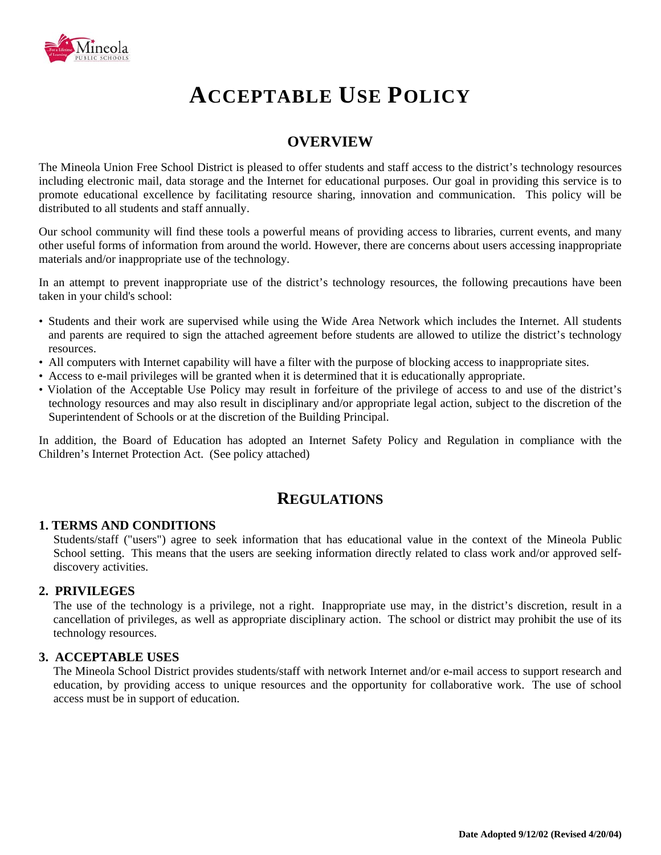

# **ACCEPTABLE USE POLICY**

### **OVERVIEW**

The Mineola Union Free School District is pleased to offer students and staff access to the district's technology resources including electronic mail, data storage and the Internet for educational purposes. Our goal in providing this service is to promote educational excellence by facilitating resource sharing, innovation and communication. This policy will be distributed to all students and staff annually.

Our school community will find these tools a powerful means of providing access to libraries, current events, and many other useful forms of information from around the world. However, there are concerns about users accessing inappropriate materials and/or inappropriate use of the technology.

In an attempt to prevent inappropriate use of the district's technology resources, the following precautions have been taken in your child's school:

- Students and their work are supervised while using the Wide Area Network which includes the Internet. All students and parents are required to sign the attached agreement before students are allowed to utilize the district's technology resources.
- All computers with Internet capability will have a filter with the purpose of blocking access to inappropriate sites.
- Access to e-mail privileges will be granted when it is determined that it is educationally appropriate.
- Violation of the Acceptable Use Policy may result in forfeiture of the privilege of access to and use of the district's technology resources and may also result in disciplinary and/or appropriate legal action, subject to the discretion of the Superintendent of Schools or at the discretion of the Building Principal.

In addition, the Board of Education has adopted an Internet Safety Policy and Regulation in compliance with the Children's Internet Protection Act. (See policy attached)

### **REGULATIONS**

#### **1. TERMS AND CONDITIONS**

Students/staff ("users") agree to seek information that has educational value in the context of the Mineola Public School setting. This means that the users are seeking information directly related to class work and/or approved selfdiscovery activities.

#### **2. PRIVILEGES**

The use of the technology is a privilege, not a right. Inappropriate use may, in the district's discretion, result in a cancellation of privileges, as well as appropriate disciplinary action. The school or district may prohibit the use of its technology resources.

#### **3. ACCEPTABLE USES**

The Mineola School District provides students/staff with network Internet and/or e-mail access to support research and education, by providing access to unique resources and the opportunity for collaborative work. The use of school access must be in support of education.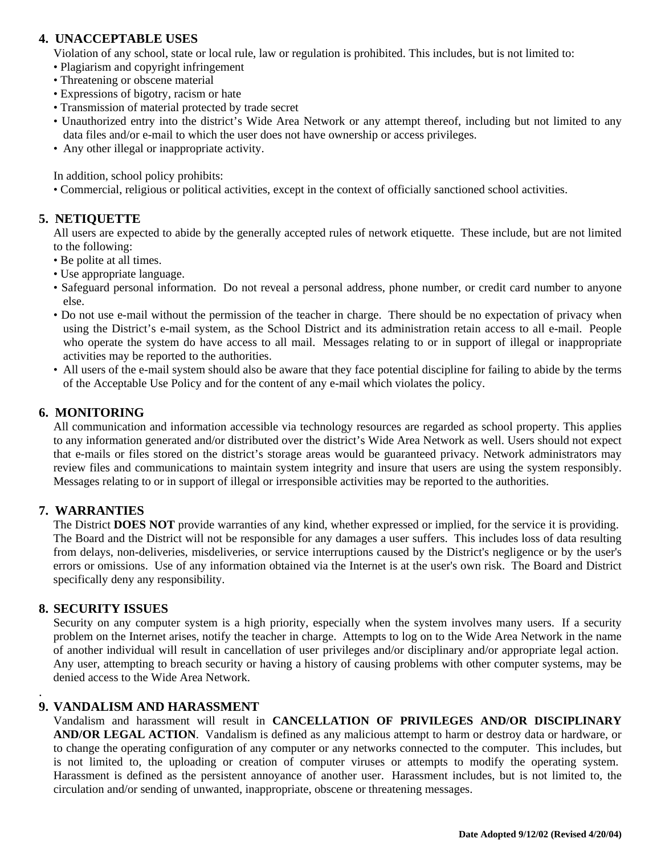#### **4. UNACCEPTABLE USES**

Violation of any school, state or local rule, law or regulation is prohibited. This includes, but is not limited to:

- Plagiarism and copyright infringement
- Threatening or obscene material
- Expressions of bigotry, racism or hate
- Transmission of material protected by trade secret
- Unauthorized entry into the district's Wide Area Network or any attempt thereof, including but not limited to any data files and/or e-mail to which the user does not have ownership or access privileges.
- Any other illegal or inappropriate activity.

In addition, school policy prohibits:

• Commercial, religious or political activities, except in the context of officially sanctioned school activities.

#### **5. NETIQUETTE**

All users are expected to abide by the generally accepted rules of network etiquette. These include, but are not limited to the following:

- Be polite at all times.
- Use appropriate language.
- Safeguard personal information. Do not reveal a personal address, phone number, or credit card number to anyone else.
- Do not use e-mail without the permission of the teacher in charge. There should be no expectation of privacy when using the District's e-mail system, as the School District and its administration retain access to all e-mail. People who operate the system do have access to all mail. Messages relating to or in support of illegal or inappropriate activities may be reported to the authorities.
- All users of the e-mail system should also be aware that they face potential discipline for failing to abide by the terms of the Acceptable Use Policy and for the content of any e-mail which violates the policy.

#### **6. MONITORING**

All communication and information accessible via technology resources are regarded as school property. This applies to any information generated and/or distributed over the district's Wide Area Network as well. Users should not expect that e-mails or files stored on the district's storage areas would be guaranteed privacy. Network administrators may review files and communications to maintain system integrity and insure that users are using the system responsibly. Messages relating to or in support of illegal or irresponsible activities may be reported to the authorities.

#### **7. WARRANTIES**

The District **DOES NOT** provide warranties of any kind, whether expressed or implied, for the service it is providing. The Board and the District will not be responsible for any damages a user suffers. This includes loss of data resulting from delays, non-deliveries, misdeliveries, or service interruptions caused by the District's negligence or by the user's errors or omissions. Use of any information obtained via the Internet is at the user's own risk. The Board and District specifically deny any responsibility.

#### **8. SECURITY ISSUES**

.

Security on any computer system is a high priority, especially when the system involves many users. If a security problem on the Internet arises, notify the teacher in charge. Attempts to log on to the Wide Area Network in the name of another individual will result in cancellation of user privileges and/or disciplinary and/or appropriate legal action. Any user, attempting to breach security or having a history of causing problems with other computer systems, may be denied access to the Wide Area Network.

#### **9. VANDALISM AND HARASSMENT**

Vandalism and harassment will result in **CANCELLATION OF PRIVILEGES AND/OR DISCIPLINARY AND/OR LEGAL ACTION**. Vandalism is defined as any malicious attempt to harm or destroy data or hardware, or to change the operating configuration of any computer or any networks connected to the computer. This includes, but is not limited to, the uploading or creation of computer viruses or attempts to modify the operating system. Harassment is defined as the persistent annoyance of another user. Harassment includes, but is not limited to, the circulation and/or sending of unwanted, inappropriate, obscene or threatening messages.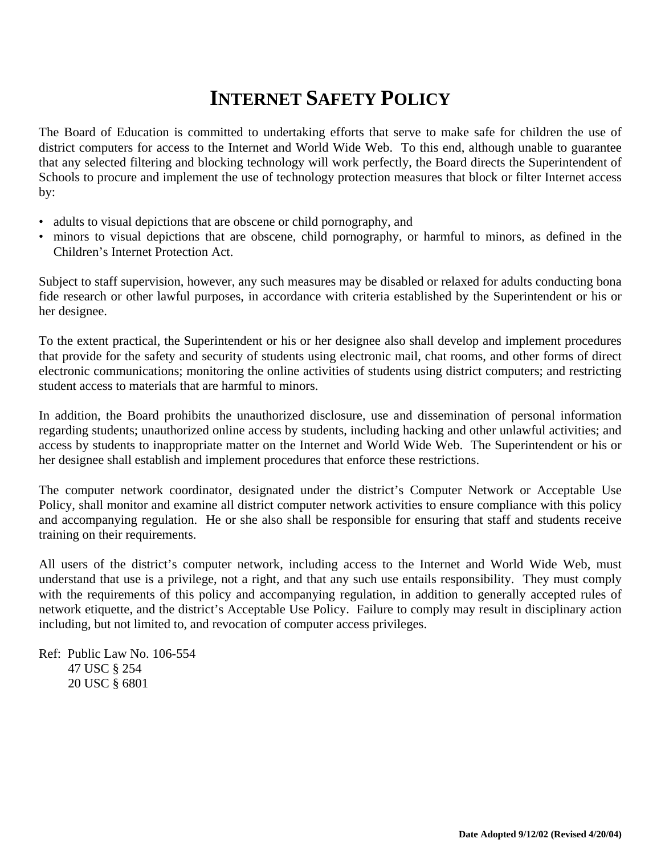## **INTERNET SAFETY POLICY**

The Board of Education is committed to undertaking efforts that serve to make safe for children the use of district computers for access to the Internet and World Wide Web. To this end, although unable to guarantee that any selected filtering and blocking technology will work perfectly, the Board directs the Superintendent of Schools to procure and implement the use of technology protection measures that block or filter Internet access by:

- adults to visual depictions that are obscene or child pornography, and
- minors to visual depictions that are obscene, child pornography, or harmful to minors, as defined in the Children's Internet Protection Act.

Subject to staff supervision, however, any such measures may be disabled or relaxed for adults conducting bona fide research or other lawful purposes, in accordance with criteria established by the Superintendent or his or her designee.

To the extent practical, the Superintendent or his or her designee also shall develop and implement procedures that provide for the safety and security of students using electronic mail, chat rooms, and other forms of direct electronic communications; monitoring the online activities of students using district computers; and restricting student access to materials that are harmful to minors.

In addition, the Board prohibits the unauthorized disclosure, use and dissemination of personal information regarding students; unauthorized online access by students, including hacking and other unlawful activities; and access by students to inappropriate matter on the Internet and World Wide Web. The Superintendent or his or her designee shall establish and implement procedures that enforce these restrictions.

The computer network coordinator, designated under the district's Computer Network or Acceptable Use Policy, shall monitor and examine all district computer network activities to ensure compliance with this policy and accompanying regulation. He or she also shall be responsible for ensuring that staff and students receive training on their requirements.

All users of the district's computer network, including access to the Internet and World Wide Web, must understand that use is a privilege, not a right, and that any such use entails responsibility. They must comply with the requirements of this policy and accompanying regulation, in addition to generally accepted rules of network etiquette, and the district's Acceptable Use Policy. Failure to comply may result in disciplinary action including, but not limited to, and revocation of computer access privileges.

Ref: Public Law No. 106-554 47 USC § 254 20 USC § 6801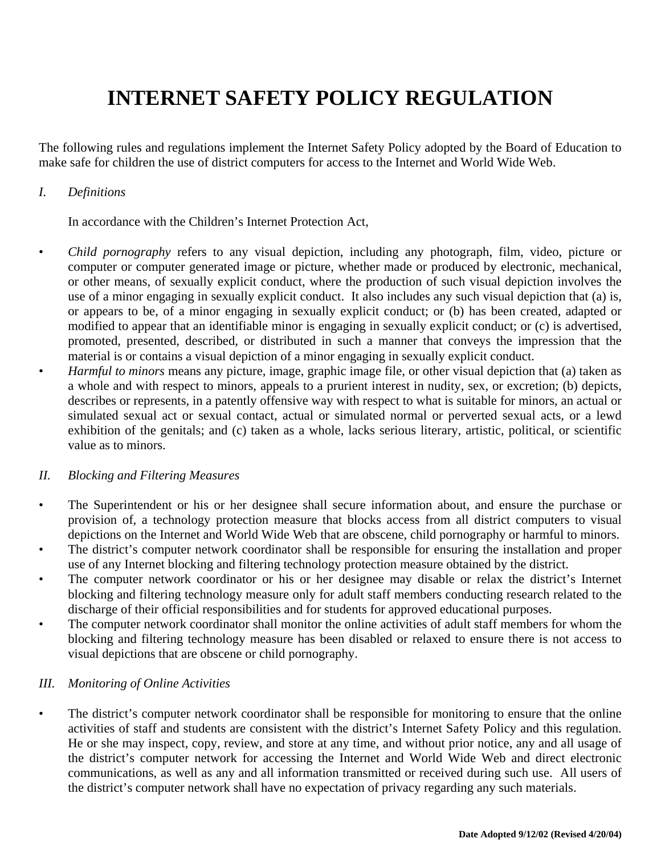# **INTERNET SAFETY POLICY REGULATION**

The following rules and regulations implement the Internet Safety Policy adopted by the Board of Education to make safe for children the use of district computers for access to the Internet and World Wide Web.

#### *I. Definitions*

In accordance with the Children's Internet Protection Act,

- *Child pornography* refers to any visual depiction, including any photograph, film, video, picture or computer or computer generated image or picture, whether made or produced by electronic, mechanical, or other means, of sexually explicit conduct, where the production of such visual depiction involves the use of a minor engaging in sexually explicit conduct. It also includes any such visual depiction that (a) is, or appears to be, of a minor engaging in sexually explicit conduct; or (b) has been created, adapted or modified to appear that an identifiable minor is engaging in sexually explicit conduct; or (c) is advertised, promoted, presented, described, or distributed in such a manner that conveys the impression that the material is or contains a visual depiction of a minor engaging in sexually explicit conduct.
- *Harmful to minors* means any picture, image, graphic image file, or other visual depiction that (a) taken as a whole and with respect to minors, appeals to a prurient interest in nudity, sex, or excretion; (b) depicts, describes or represents, in a patently offensive way with respect to what is suitable for minors, an actual or simulated sexual act or sexual contact, actual or simulated normal or perverted sexual acts, or a lewd exhibition of the genitals; and (c) taken as a whole, lacks serious literary, artistic, political, or scientific value as to minors.

#### *II. Blocking and Filtering Measures*

- The Superintendent or his or her designee shall secure information about, and ensure the purchase or provision of, a technology protection measure that blocks access from all district computers to visual depictions on the Internet and World Wide Web that are obscene, child pornography or harmful to minors.
- The district's computer network coordinator shall be responsible for ensuring the installation and proper use of any Internet blocking and filtering technology protection measure obtained by the district.
- The computer network coordinator or his or her designee may disable or relax the district's Internet blocking and filtering technology measure only for adult staff members conducting research related to the discharge of their official responsibilities and for students for approved educational purposes.
- The computer network coordinator shall monitor the online activities of adult staff members for whom the blocking and filtering technology measure has been disabled or relaxed to ensure there is not access to visual depictions that are obscene or child pornography.

#### *III. Monitoring of Online Activities*

• The district's computer network coordinator shall be responsible for monitoring to ensure that the online activities of staff and students are consistent with the district's Internet Safety Policy and this regulation. He or she may inspect, copy, review, and store at any time, and without prior notice, any and all usage of the district's computer network for accessing the Internet and World Wide Web and direct electronic communications, as well as any and all information transmitted or received during such use. All users of the district's computer network shall have no expectation of privacy regarding any such materials.